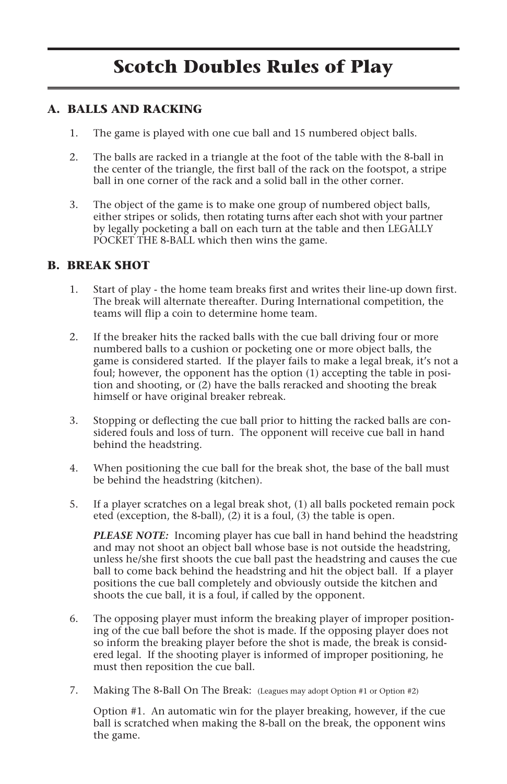# **Scotch Doubles Rules of Play**

#### **A. BALLS AND RACKING**

- 1. The game is played with one cue ball and 15 numbered object balls.
- 2. The balls are racked in a triangle at the foot of the table with the 8-ball in the center of the triangle, the first ball of the rack on the footspot, a stripe ball in one corner of the rack and a solid ball in the other corner.
- 3. The object of the game is to make one group of numbered object balls, either stripes or solids, then rotating turns after each shot with your partner by legally pocketing a ball on each turn at the table and then LEGALLY POCKET THE 8-BALL which then wins the game.

#### **B. BREAK SHOT**

- 1. Start of play the home team breaks first and writes their line-up down first. The break will alternate thereafter. During International competition, the teams will flip a coin to determine home team.
- 2. If the breaker hits the racked balls with the cue ball driving four or more numbered balls to a cushion or pocketing one or more object balls, the game is considered started. If the player fails to make a legal break, it's not a foul; however, the opponent has the option (1) accepting the table in position and shooting, or (2) have the balls reracked and shooting the break himself or have original breaker rebreak.
- 3. Stopping or deflecting the cue ball prior to hitting the racked balls are considered fouls and loss of turn. The opponent will receive cue ball in hand behind the headstring.
- 4. When positioning the cue ball for the break shot, the base of the ball must be behind the headstring (kitchen).
- 5. If a player scratches on a legal break shot, (1) all balls pocketed remain pock eted (exception, the 8-ball), (2) it is a foul, (3) the table is open.

*PLEASE NOTE:* Incoming player has cue ball in hand behind the headstring and may not shoot an object ball whose base is not outside the headstring, unless he/she first shoots the cue ball past the headstring and causes the cue ball to come back behind the headstring and hit the object ball. If a player positions the cue ball completely and obviously outside the kitchen and shoots the cue ball, it is a foul, if called by the opponent.

- 6. The opposing player must inform the breaking player of improper positioning of the cue ball before the shot is made. If the opposing player does not so inform the breaking player before the shot is made, the break is considered legal. If the shooting player is informed of improper positioning, he must then reposition the cue ball.
- 7. Making The 8-Ball On The Break: (Leagues may adopt Option #1 or Option #2)

Option #1. An automatic win for the player breaking, however, if the cue ball is scratched when making the 8-ball on the break, the opponent wins the game.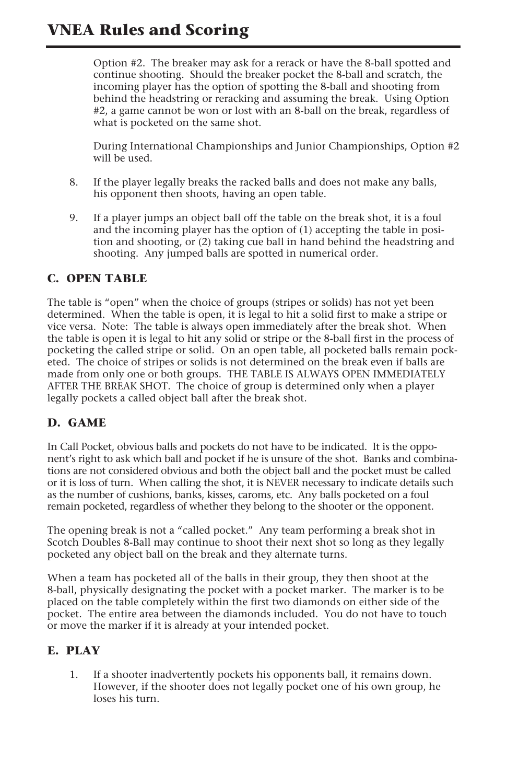# **VNEA Rules and Scoring**

Option #2. The breaker may ask for a rerack or have the 8-ball spotted and continue shooting. Should the breaker pocket the 8-ball and scratch, the incoming player has the option of spotting the 8-ball and shooting from behind the headstring or reracking and assuming the break. Using Option #2, a game cannot be won or lost with an 8-ball on the break, regardless of what is pocketed on the same shot.

During International Championships and Junior Championships, Option #2 will be used.

- 8. If the player legally breaks the racked balls and does not make any balls, his opponent then shoots, having an open table.
- 9. If a player jumps an object ball off the table on the break shot, it is a foul and the incoming player has the option of (1) accepting the table in position and shooting, or (2) taking cue ball in hand behind the headstring and shooting. Any jumped balls are spotted in numerical order.

### **C. OPEN TABLE**

The table is "open" when the choice of groups (stripes or solids) has not yet been determined. When the table is open, it is legal to hit a solid first to make a stripe or vice versa. Note: The table is always open immediately after the break shot. When the table is open it is legal to hit any solid or stripe or the 8-ball first in the process of pocketing the called stripe or solid. On an open table, all pocketed balls remain pocketed. The choice of stripes or solids is not determined on the break even if balls are made from only one or both groups. THE TABLE IS ALWAYS OPEN IMMEDIATELY AFTER THE BREAK SHOT. The choice of group is determined only when a player legally pockets a called object ball after the break shot.

### **D. GAME**

In Call Pocket, obvious balls and pockets do not have to be indicated. It is the opponent's right to ask which ball and pocket if he is unsure of the shot. Banks and combinations are not considered obvious and both the object ball and the pocket must be called or it is loss of turn. When calling the shot, it is NEVER necessary to indicate details such as the number of cushions, banks, kisses, caroms, etc. Any balls pocketed on a foul remain pocketed, regardless of whether they belong to the shooter or the opponent.

The opening break is not a "called pocket." Any team performing a break shot in Scotch Doubles 8-Ball may continue to shoot their next shot so long as they legally pocketed any object ball on the break and they alternate turns.

When a team has pocketed all of the balls in their group, they then shoot at the 8-ball, physically designating the pocket with a pocket marker. The marker is to be placed on the table completely within the first two diamonds on either side of the pocket. The entire area between the diamonds included. You do not have to touch or move the marker if it is already at your intended pocket.

### **E. PLAY**

1. If a shooter inadvertently pockets his opponents ball, it remains down. However, if the shooter does not legally pocket one of his own group, he loses his turn.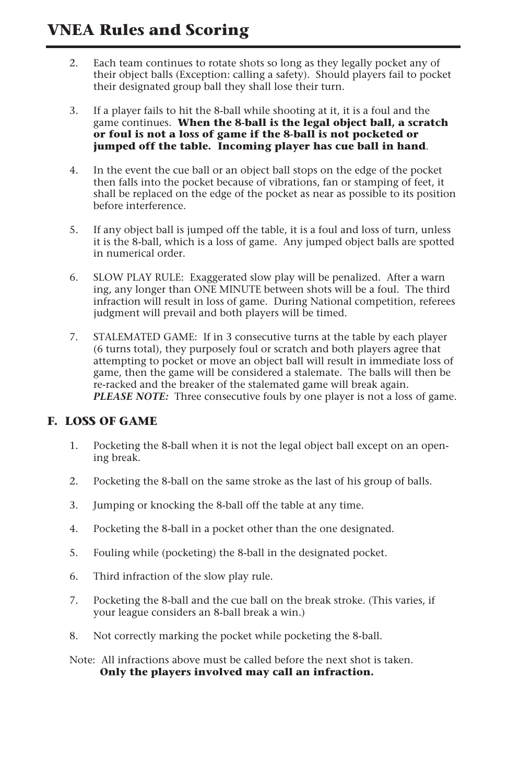# **VNEA Rules and Scoring**

- 2. Each team continues to rotate shots so long as they legally pocket any of their object balls (Exception: calling a safety). Should players fail to pocket their designated group ball they shall lose their turn.
- 3. If a player fails to hit the 8-ball while shooting at it, it is a foul and the game continues. **When the 8-ball is the legal object ball, a scratch or foul is not a loss of game if the 8-ball is not pocketed or jumped off the table. Incoming player has cue ball in hand**.
- 4. In the event the cue ball or an object ball stops on the edge of the pocket then falls into the pocket because of vibrations, fan or stamping of feet, it shall be replaced on the edge of the pocket as near as possible to its position before interference.
- 5. If any object ball is jumped off the table, it is a foul and loss of turn, unless it is the 8-ball, which is a loss of game. Any jumped object balls are spotted in numerical order.
- 6. SLOW PLAY RULE: Exaggerated slow play will be penalized. After a warn ing, any longer than ONE MINUTE between shots will be a foul. The third infraction will result in loss of game. During National competition, referees judgment will prevail and both players will be timed.
- 7. STALEMATED GAME: If in 3 consecutive turns at the table by each player (6 turns total), they purposely foul or scratch and both players agree that attempting to pocket or move an object ball will result in immediate loss of game, then the game will be considered a stalemate. The balls will then be re-racked and the breaker of the stalemated game will break again. *PLEASE NOTE:* Three consecutive fouls by one player is not a loss of game.

### **F. LOSS OF GAME**

- 1. Pocketing the 8-ball when it is not the legal object ball except on an opening break.
- 2. Pocketing the 8-ball on the same stroke as the last of his group of balls.
- 3. Jumping or knocking the 8-ball off the table at any time.
- 4. Pocketing the 8-ball in a pocket other than the one designated.
- 5. Fouling while (pocketing) the 8-ball in the designated pocket.
- 6. Third infraction of the slow play rule.
- 7. Pocketing the 8-ball and the cue ball on the break stroke. (This varies, if your league considers an 8-ball break a win.)
- 8. Not correctly marking the pocket while pocketing the 8-ball.
- Note: All infractions above must be called before the next shot is taken. **Only the players involved may call an infraction.**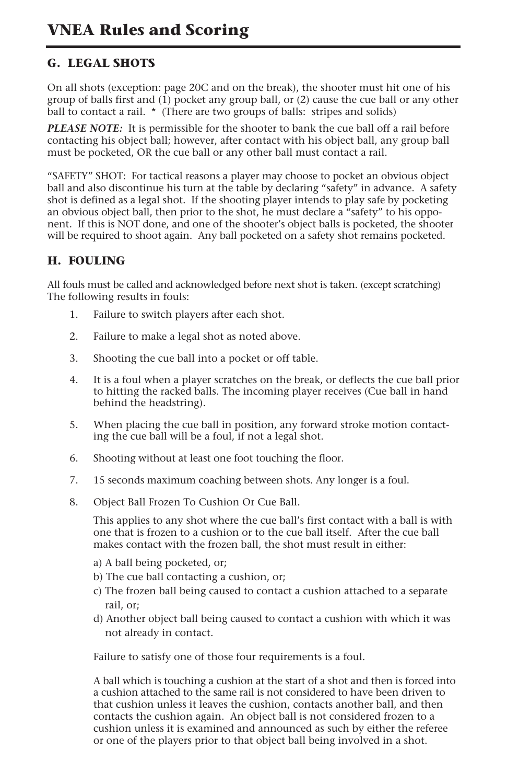### **G. LEGAL SHOTS**

On all shots (exception: page 20C and on the break), the shooter must hit one of his group of balls first and  $(1)$  pocket any group ball, or  $(2)$  cause the cue ball or any other ball to contact a rail. \* (There are two groups of balls: stripes and solids)

*PLEASE NOTE:* It is permissible for the shooter to bank the cue ball off a rail before contacting his object ball; however, after contact with his object ball, any group ball must be pocketed, OR the cue ball or any other ball must contact a rail.

"SAFETY" SHOT: For tactical reasons a player may choose to pocket an obvious object ball and also discontinue his turn at the table by declaring "safety" in advance. A safety shot is defined as a legal shot. If the shooting player intends to play safe by pocketing an obvious object ball, then prior to the shot, he must declare a "safety" to his opponent. If this is NOT done, and one of the shooter's object balls is pocketed, the shooter will be required to shoot again. Any ball pocketed on a safety shot remains pocketed.

### **H. FOULING**

All fouls must be called and acknowledged before next shot is taken. (except scratching) The following results in fouls:

- 1. Failure to switch players after each shot.
- 2. Failure to make a legal shot as noted above.
- 3. Shooting the cue ball into a pocket or off table.
- 4. It is a foul when a player scratches on the break, or deflects the cue ball prior to hitting the racked balls. The incoming player receives (Cue ball in hand behind the headstring).
- 5. When placing the cue ball in position, any forward stroke motion contacting the cue ball will be a foul, if not a legal shot.
- 6. Shooting without at least one foot touching the floor.
- 7. 15 seconds maximum coaching between shots. Any longer is a foul.
- 8. Object Ball Frozen To Cushion Or Cue Ball.

This applies to any shot where the cue ball's first contact with a ball is with one that is frozen to a cushion or to the cue ball itself. After the cue ball makes contact with the frozen ball, the shot must result in either:

- a) A ball being pocketed, or;
- b) The cue ball contacting a cushion, or;
- c) The frozen ball being caused to contact a cushion attached to a separate rail, or;
- d) Another object ball being caused to contact a cushion with which it was not already in contact.

Failure to satisfy one of those four requirements is a foul.

A ball which is touching a cushion at the start of a shot and then is forced into a cushion attached to the same rail is not considered to have been driven to that cushion unless it leaves the cushion, contacts another ball, and then contacts the cushion again. An object ball is not considered frozen to a cushion unless it is examined and announced as such by either the referee or one of the players prior to that object ball being involved in a shot.